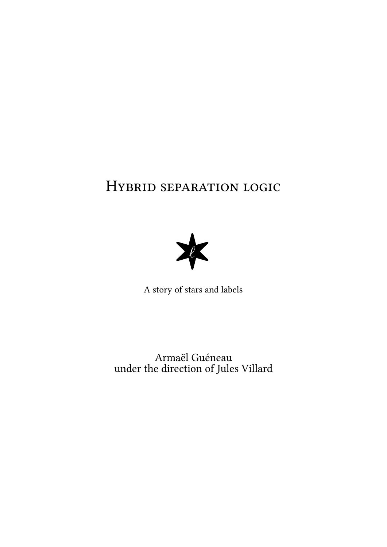# HYBRID SEPARATION LOGIC



Armaël Guéneau under the direction of Jules Villard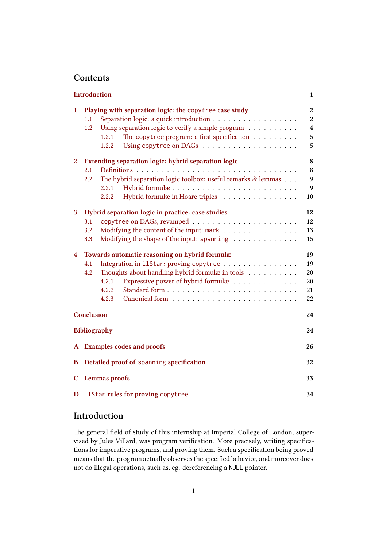# **Contents**

|                | Introduction                                                        |                                                   |                  |
|----------------|---------------------------------------------------------------------|---------------------------------------------------|------------------|
| 1              | Playing with separation logic: the copytree case study              |                                                   | $\boldsymbol{2}$ |
|                | 1.1                                                                 | Separation logic: a quick introduction            | $\boldsymbol{2}$ |
|                | 1.2                                                                 | Using separation logic to verify a simple program | $\overline{4}$   |
|                | 1.2.1                                                               | The copytree program: a first specification       | 5                |
|                | 1.2.2                                                               |                                                   | 5                |
| $\overline{2}$ | Extending separation logic: hybrid separation logic                 |                                                   | 8                |
|                | 2.1                                                                 |                                                   | 8                |
|                | The hybrid separation logic toolbox: useful remarks & lemmas<br>2.2 |                                                   | 9                |
|                | 2.2.1                                                               | Hybrid formulæ                                    | 9                |
|                | 2.2.2                                                               | Hybrid formulæ in Hoare triples                   | 10               |
| 3              | Hybrid separation logic in practice: case studies                   |                                                   | 12               |
|                | 3.1                                                                 |                                                   | 12               |
|                | Modifying the content of the input: mark<br>3.2                     |                                                   | 13               |
|                | 3.3                                                                 | Modifying the shape of the input: spanning        | 15               |
| 4              | Towards automatic reasoning on hybrid formulæ                       |                                                   | 19               |
|                | 4.1                                                                 | Integration in 11Star: proving copytree           | 19               |
|                | Thoughts about handling hybrid formulæ in tools<br>4.2              |                                                   | 20               |
|                | 4.2.1                                                               | Expressive power of hybrid formulæ                | 20               |
|                | 4.2.2                                                               |                                                   | 21               |
|                | 4.2.3                                                               |                                                   | 22               |
|                | Conclusion                                                          |                                                   | 24               |
|                | <b>Bibliography</b>                                                 |                                                   |                  |
|                | A Examples codes and proofs                                         |                                                   |                  |
| B              | Detailed proof of spanning specification                            |                                                   |                  |
|                |                                                                     |                                                   |                  |
| $\mathbf C$    | Lemmas proofs                                                       |                                                   |                  |
| D              | 11Star rules for proving copytree<br>34                             |                                                   |                  |

# **[Introduction](#page-33-0)**

<span id="page-1-0"></span>Th[e general field of study of this intern](#page-34-0)ship at Imperial College of London, supervised by Jules Villard, was program verification. More precisely, writing specifications for imperative programs, and proving them. Such a specification being proved means that the program actually observes the specified behavior, and moreover does not do illegal operations, such as, eg. dereferencing a NULL pointer.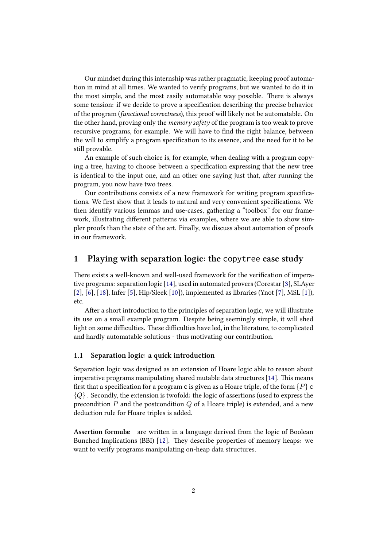Our mindset during this internship was rather pragmatic, keeping proof automation in mind at all times. We wanted to verify programs, but we wanted to do it in the most simple, and the most easily automatable way possible. There is always some tension: if we decide to prove a specification describing the precise behavior of the program (*functional correctness*), this proof will likely not be automatable. On the other hand, proving only the *memory safety* of the program is too weak to prove recursive programs, for example. We will have to find the right balance, between the will to simplify a program specification to its essence, and the need for it to be still provable.

An example of such choice is, for example, when dealing with a program copying a tree, having to choose between a specification expressing that the new tree is identical to the input one, and an other one saying just that, after running the program, you now have two trees.

Our contributions consists of a new framework for writing program specifications. We first show that it leads to natural and very convenient specifications. We then identify various lemmas and use-cases, gathering a "toolbox" for our framework, illustrating different patterns via examples, where we are able to show simpler proofs than the state of the art. Finally, we discuss about automation of proofs in our framework.

# **1 Playing with separation logic: the** copytree **case study**

<span id="page-2-0"></span>There exists a well-known and well-used framework for the verification of imperative programs: separation logic [14], used in automated provers (Corestar [3], SLAyer [2], [6], [18], Infer [5], Hip/Sleek [10]), implemented as libraries (Ynot [7], MSL [1]), etc.

After a short introduction to the principles of separation logic, we will illustrate its use on a small example pro[gram](#page-25-0). Despite being seemingly simple, it [w](#page-24-1)ill shed l[ig](#page-24-2)ht [o](#page-24-3)n [som](#page-25-1)e diffic[ul](#page-24-4)ties. These di[ffic](#page-25-2)ulties have led, in the literature, to [co](#page-24-5)mplic[ate](#page-24-6)d and hardly automatable solutions - thus motivating our contribution.

#### **1.1 Separation logic: a quick introduction**

<span id="page-2-1"></span>Separation logic was designed as an extension of Hoare logic able to reason about imperative programs manipulating shared mutable data structures  $[14]$ . This means first that a specification for a program c is given as a Hoare triple, of the form  $\{P\}$  c  ${Q}$ . Secondly, the extension is twofold: the logic of assertions (used to express the precondition *P* and the postcondition *Q* of a Hoare triple) is exte[nde](#page-25-0)d, and a new deduction rule for Hoare triples is added.

Assertion formulæ are written in a language derived from the logic of Boolean Bunched Implications (BBI) [12]. They describe properties of memory heaps: we want to verify programs manipulating on-heap data structures.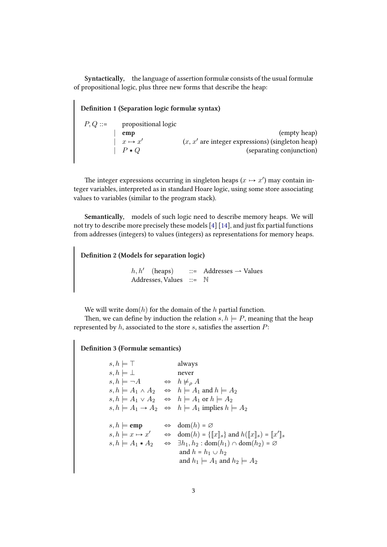**Syntactically,** the language of assertion formulæ consists of the usual formulæ of propositional logic, plus three new forms that describe the heap:

#### **Definition 1 (Separation logic formulæ syntax)**

| $P,Q ::=$ | propositional logic        |                                                    |
|-----------|----------------------------|----------------------------------------------------|
|           | emp                        | (empty heap)                                       |
|           | $\vert x \mapsto x' \vert$ | $(x, x'$ are integer expressions) (singleton heap) |
|           | $\mid P * Q$               | (separating conjunction)                           |

The integer expressions occurring in singleton heaps  $(x \mapsto x')$  may contain integer variables, interpreted as in standard Hoare logic, using some store associating values to variables (similar to the program stack).

**Semantically,** models of such logic need to describe memory heaps. We will not try to describe more precisely these models [4] [14], and just fix partial functions from addresses (integers) to values (integers) as representations for memory heaps.

# **Definition 2 (Models for separation logic)**

 $h, h'$  (heaps) ::= Addresses  $\rightarrow$  Values Addresses, Values ::= N

We will write dom(*h*) for the domain of the *h* partial function.

Then, we can define by induction the relation  $s, h \models P$ , meaning that the heap represented by *h*, associated to the store *s*, satisfies the assertion *P*:

**Definition 3 (Formulæ semantics)**

$$
s, h \models \top
$$
 always  
\n
$$
s, h \models \bot
$$
 never  
\n
$$
s, h \models \neg A \Leftrightarrow h \not\models_{\rho} A
$$
  
\n
$$
s, h \models A_1 \land A_2 \Leftrightarrow h \models A_1 \text{ and } h \models A_2
$$
  
\n
$$
s, h \models A_1 \lor A_2 \Leftrightarrow h \models A_1 \text{ or } h \models A_2
$$
  
\n
$$
s, h \models A_1 \rightarrow A_2 \Leftrightarrow h \models A_1 \text{ implies } h \models A_2
$$
  
\n
$$
s, h \models \text{emp} \Leftrightarrow \text{dom}(h) = \emptyset
$$
  
\n
$$
s, h \models x \mapsto x' \Leftrightarrow \text{dom}(h) = \{\llbracket x \rrbracket_s\} \text{ and } h(\llbracket x \rrbracket_s) = \llbracket x' \rrbracket_s
$$
  
\n
$$
s, h \models A_1 * A_2 \Leftrightarrow \exists h_1, h_2 : \text{dom}(h_1) \cap \text{dom}(h_2) = \emptyset
$$
  
\n
$$
\text{and } h = h_1 \cup h_2
$$
  
\n
$$
\text{and } h_1 \models A_1 \text{ and } h_2 \models A_2
$$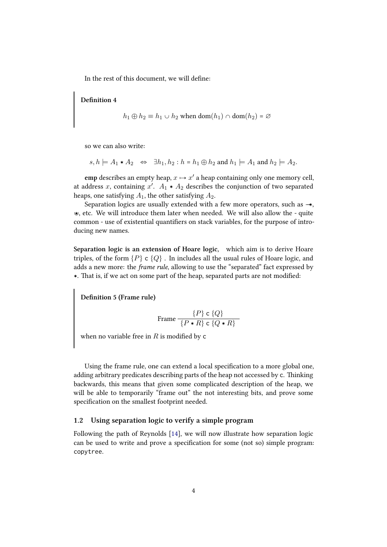In the rest of this document, we will define:

**Definition 4**

$$
h_1 \oplus h_2 \equiv h_1 \cup h_2 \text{ when } \text{dom}(h_1) \cap \text{dom}(h_2) = \varnothing
$$

so we can also write:

$$
s, h \models A_1 \ast A_2 \Leftrightarrow \exists h_1, h_2 : h = h_1 \oplus h_2 \text{ and } h_1 \models A_1 \text{ and } h_2 \models A_2.
$$

 $\textbf{emp}\text{ describes an empty heap}, x \mapsto x'$  a heap containing only one memory cell, at address  $x$ , containing  $x'$ .  $A_1 \ast A_2$  describes the conjunction of two separated heaps, one satisfying  $A_1$ , the other satisfying  $A_2$ .

Separation logics are usually extended with a few more operators, such as *−−*›, Y›, etc. We will introduce them later when needed. We will also allow the - quite common - use of existential quantifiers on stack variables, for the purpose of introducing new names.

**Separation logic is an extension of Hoare logic,** which aim is to derive Hoare triples, of the form  $\{P\}$  c  $\{Q\}$ . In includes all the usual rules of Hoare logic, and adds a new more: the *frame rule*, allowing to use the "separated" fact expressed by \*. That is, if we act on some part of the heap, separated parts are not modified:

**Definition 5 (Frame rule)**

$$
\text{Frame } \frac{\{P\} \text{ c } \{Q\}}{\{P \ast R\} \text{ c } \{Q \ast R\}}
$$

when no variable free in  $R$  is modified by  $\mathsf c$ 

Using the frame rule, one can extend a local specification to a more global one, adding arbitrary predicates describing parts of the heap not accessed by c. Thinking backwards, this means that given some complicated description of the heap, we will be able to temporarily "frame out" the not interesting bits, and prove some specification on the smallest footprint needed.

#### **1.2 Using separation logic to verify a simple program**

<span id="page-4-0"></span>Following the path of Reynolds [14], we will now illustrate how separation logic can be used to write and prove a specification for some (not so) simple program: copytree.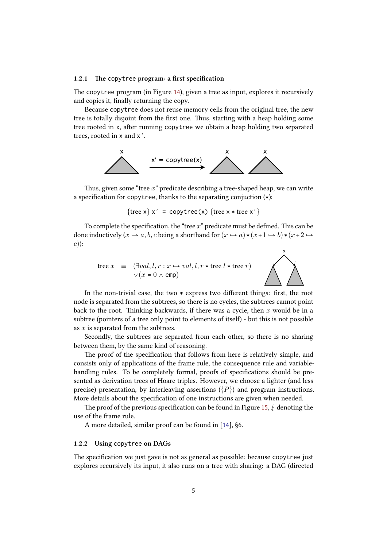#### **1.2.1 e** copytree **program: a first specification**

The copytree program (in Figure 14), given a tree as input, explores it recursively and copies it, finally returning the copy.

<span id="page-5-0"></span>Because copytree does not reuse memory cells from the original tree, the new tree is totally disjoint from the first one. Thus, starting with a heap holding some tree rooted in x, after running co[pyt](#page-26-1)ree we obtain a heap holding two separated trees, rooted in x and x'.



Thus, given some "tree x" predicate describing a tree-shaped heap, we can write a specification for copytree, thanks to the separating conjuction  $(*)$ :

$$
\{ \text{tree } x \} \ x' = \text{copytree}(x) \ \{ \text{tree } x * \text{tree } x' \}
$$

To complete the specification, the "tree  $x$ " predicate must be defined. This can be done inductively  $(x \mapsto a, b, c$  being a shorthand for  $(x \mapsto a) \cdot (x+1 \mapsto b) \cdot (x+2 \mapsto c)$ *c*)):



In the non-trivial case, the two  $*$  express two different things: first, the root node is separated from the subtrees, so there is no cycles, the subtrees cannot point back to the root. Thinking backwards, if there was a cycle, then  $x$  would be in a subtree (pointers of a tree only point to elements of itself) - but this is not possible as *x* is separated from the subtrees.

Secondly, the subtrees are separated from each other, so there is no sharing between them, by the same kind of reasoning.

The proof of the specification that follows from here is relatively simple, and consists only of applications of the frame rule, the consequence rule and variablehandling rules. To be completely formal, proofs of specifications should be presented as derivation trees of Hoare triples. However, we choose a lighter (and less precise) presentation, by interleaving assertions  $(\lbrace P \rbrace)$  and program instructions. More details about the specification of one instructions are given when needed.

The proof of the previous specification can be found in Figure 15,  $\oint$  denoting the use of the frame rule.

A more detailed, similar proof can be found in [14], §6.

#### **1.2.2 Using** copytree **on DAGs**

<span id="page-5-1"></span>The specification we just gave is not as general as [pos](#page-25-0)sible: because copytree just explores recursively its input, it also runs on a tree with sharing: a DAG (directed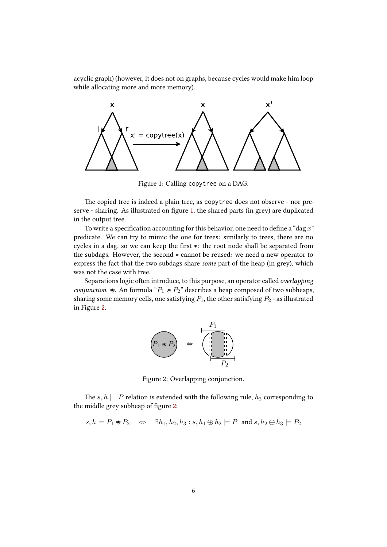acyclic graph) (however, it does not on graphs, because cycles would make him loop while allocating more and more memory).



<span id="page-6-0"></span>Figure 1: Calling copytree on a DAG.

The copied tree is indeed a plain tree, as copytree does not observe - nor preserve - sharing. As illustrated on figure 1, the shared parts (in grey) are duplicated in the output tree.

To write a specification accounting for this behavior, one need to define a "dag *x*" predicate. We can try to mimic the on[e](#page-6-0) for trees: similarly to trees, there are no cycles in a dag, so we can keep the first  $*$ : the root node shall be separated from the subdags. However, the second  $*$  cannot be reused: we need a new operator to express the fact that the two subdags share *some* part of the heap (in grey), which was not the case with tree.

Separations logic often introduce, to this purpose, an operator called *overlapping conjunction*,  $\ast$ . An formula " $P_1 \ast P_2$ " describes a heap composed of two subheaps, sharing some memory cells, one satisfying  $P_1$ , the other satisfying  $P_2$  - as illustrated in Figure 2.



Figure 2: Overlapping conjunction.

The  $s, h \models P$  relation is extended with the following rule,  $h_2$  corresponding to the middle grey subheap of figure 2:

$$
s, h \models P_1 \mathbin{\text{#}} P_2 \quad \Leftrightarrow \quad \exists h_1, h_2, h_3 : s, h_1 \oplus h_2 \models P_1 \text{ and } s, h_2 \oplus h_3 \models P_2
$$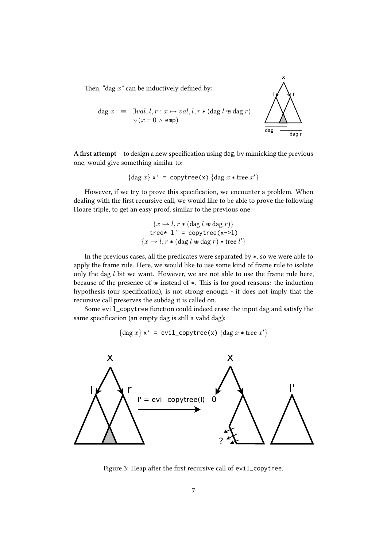Then, "dag x" can be inductively defined by:



$$
\begin{array}{rcl}\n\text{dag } x & \equiv & \exists val, l, r: x \mapsto val, l, r * (\text{dag } l \text{ } \Leftrightarrow \text{dag } r) \\
& \lor (x = 0 \land \text{ } \text{emp})\n\end{array}
$$

**A first attempt** to design a new specification using dag, by mimicking the previous one, would give something similar to:

$$
\{\text{dag } x\} \times' = \text{copytree}(x) \text{ } \{\text{dag } x \ast \text{tree } x'\}
$$

However, if we try to prove this specification, we encounter a problem. When dealing with the first recursive call, we would like to be able to prove the following Hoare triple, to get an easy proof, similar to the previous one:

$$
\{x \mapsto l, r * (\text{dag } l \text{ } \text{# } \text{dag } r)\}
$$
  
tree\* 1' = copytree(x->1)  

$$
\{x \mapsto l, r * (\text{dag } l \text{ } \text{# } \text{diag } r) * \text{tree } l'\}
$$

In the previous cases, all the predicates were separated by  $\ast$ , so we were able to apply the frame rule. Here, we would like to use some kind of frame rule to isolate only the dag *l* bit we want. However, we are not able to use the frame rule here, because of the presence of  $\ast$  instead of  $\ast$ . This is for good reasons: the induction hypothesis (our specification), is not strong enough - it does not imply that the recursive call preserves the subdag it is called on.

Some evil\_copytree function could indeed erase the input dag and satisfy the same specification (an empty dag is still a valid dag):

$$
{\deg x} \times' = \text{evil\_copytree}(x) {\deg x * tree x'}
$$



Figure 3: Heap after the first recursive call of evil\_copytree.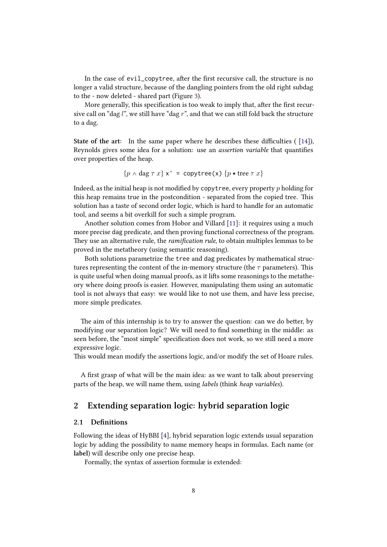In the case of  $evil\_copytree$ , after the first recursive call, the structure is no longer a valid structure, because of the dangling pointers from the old right subdag to the - now deleted - shared part (Figure 3).

More generally, this specification is too weak to imply that, after the first recursive call on "dag *l*", we still have "dag *r*", and that we can still fold back the structure to a dag.

**State of the art:** In the same paper where he describes these difficulties ( [14]), Reynolds gives some idea for a solution: use an *assertion variable* that quantifies over properties of the heap.

$$
\{p \land \text{dag } \tau x\} \times' = \text{copytree}(x) \{p * \text{tree } \tau x\}
$$

Indeed, as the initial heap is not modified by copytree, every property *p* holding for this heap remains true in the postcondition - separated from the copied tree. This solution has a taste of second order logic, which is hard to handle for an automatic tool, and seems a bit overkill for such a simple program.

Another solution comes from Hobor and Villard [11]: it requires using a much more precise dag predicate, and then proving functional correctness of the program. They use an alternative rule, the *ramification rule*, to obtain multiples lemmas to be proved in the metatheory (using semantic reasoning).

Both solutions parametrize the tree and dag pre[dica](#page-25-3)tes by mathematical structures representing the content of the in-memory structure (the  $\tau$  parameters). This is quite useful when doing manual proofs, as it lifts some reasonings to the metatheory where doing proofs is easier. However, manipulating them using an automatic tool is not always that easy: we would like to not use them, and have less precise, more simple predicates.

The aim of this internship is to try to answer the question: can we do better, by modifying our separation logic? We will need to find something in the middle: as seen before, the "most simple" specification does not work, so we still need a more expressive logic.

This would mean modify the assertions logic, and/or modify the set of Hoare rules.

A first grasp of what will be the main idea: as we want to talk about preserving parts of the heap, we will name them, using *labels* (think *heap variables*).

# **2 Extending separation logic: hybrid separation logic**

#### **2.1 Definitions**

<span id="page-8-0"></span>Following the ideas of HyBBI [4], hybrid separation logic extends usual separation logic by adding the possibility to name memory heaps in formulas. Each name (or **label**) will describe only one precise heap.

<span id="page-8-1"></span>Formally, the syntax of ass[er](#page-24-7)tion formulæ is extended: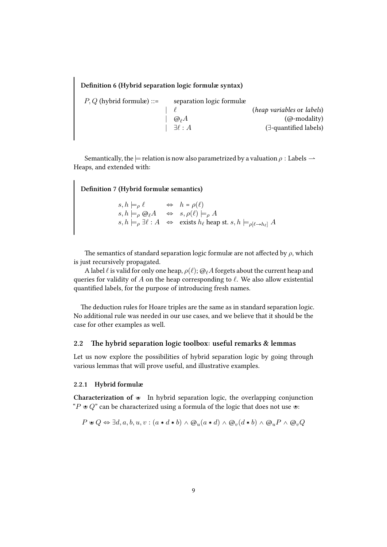**Definition 6 (Hybrid separation logic formulæ syntax)**

| (heap variables or labels)     |
|--------------------------------|
| $(Q$ -modality)                |
| $(\exists$ -quantified labels) |
|                                |

Semantically, the  $\models$  relation is now also parametrized by a valuation  $\rho$  : Labels  $\rightarrow$ Heaps, and extended with:

**Definition 7 (Hybrid formulæ semantics)**

 $s, h \models \rho \ell \iff h = \rho(\ell)$  $s, h \models_{\rho} \mathbb{Q}_{\ell} A \iff s, \rho(\ell) \models_{\rho} A$  $s, h \models_{\rho} \exists \ell : A \iff \text{exists } h_{\ell} \text{ heap st. } s, h \models_{\rho[\ell \to h_{\ell}]} A$ 

The semantics of standard separation logic formulæ are not affected by  $\rho$ , which is just recursively propagated.

A label *ℓ* is valid for only one heap, *ρ*(*ℓ*); @*ℓA* forgets about the current heap and queries for validity of *A* on the heap corresponding to *ℓ*. We also allow existential quantified labels, for the purpose of introducing fresh names.

The deduction rules for Hoare triples are the same as in standard separation logic. No additional rule was needed in our use cases, and we believe that it should be the case for other examples as well.

#### <span id="page-9-0"></span>2.2 The hybrid separation logic toolbox: useful remarks & lemmas

Let us now explore the possibilities of hybrid separation logic by going through various lemmas that will prove useful, and illustrative examples.

#### <span id="page-9-1"></span>**2.2.1 Hybrid formulæ**

**Characterization of**  $\ast$  In hybrid separation logic, the overlapping conjunction "*P*  $\ast Q$ " can be characterized using a formula of the logic that does not use  $\ast$ :

$$
P \triangleleft Q \Leftrightarrow \exists d, a, b, u, v : (a * d * b) \wedge @_u(a * d) \wedge @_v(d * b) \wedge @_uP \wedge @_vQ
$$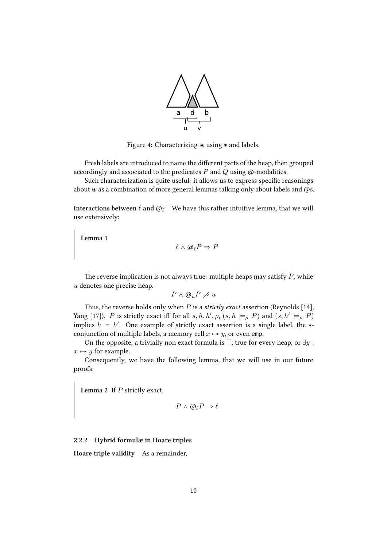

Figure 4: Characterizing  $\bullet$  using  $\ast$  and labels.

Fresh labels are introduced to name the different parts of the heap, then grouped accordingly and associated to the predicates *P* and *Q* using @-modalities.

Such characterization is quite useful: it allows us to express specific reasonings about  $\ast$  as a combination of more general lemmas talking only about labels and @s.

**Interactions between** *ℓ* **and** @*<sup>ℓ</sup>* We have this rather intuitive lemma, that we will use extensively:

<span id="page-10-1"></span>**Lemma 1**

$$
\ell \wedge \Theta_{\ell} P \Rightarrow P
$$

The reverse implication is not always true: multiple heaps may satisfy  $P$ , while *u* denotes one precise heap.

$$
P \wedge @_{u}P \neq u
$$

Thus, the reverse holds only when  $P$  is a *strictly exact* assertion (Reynolds [14], Yang [17]). *P* is strictly exact iff for all  $s, h, h', \rho, (s, h \models_{\rho} P)$  and  $(s, h' \models_{\rho} P)$ implies  $h = h'$ . One example of strictly exact assertion is a single label, the  $*$ conjunction of multiple labels, a memory cell  $x \mapsto y$ , or even emp.

On the opposite, a triviall[y](#page-25-0) non exact formula is  $\top$ , true for every heap, or  $\exists y$ :  $x \mapsto y$  [fo](#page-25-4)r example.

Consequently, we have the following lemma, that we will use in our future proofs:

<span id="page-10-2"></span>**Lemma 2** If  $P$  strictly exact,

$$
P \wedge @_{\ell}P \Rightarrow \ell
$$

#### **2.2.2 Hybrid formulæ in Hoare triples**

<span id="page-10-0"></span>**Hoare triple validity** As a remainder,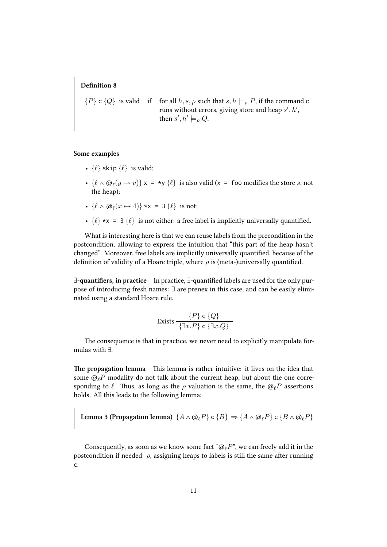#### **Definition 8**

 $\{P\}$  **c**  $\{Q\}$  is valid if for all  $h, s, \rho$  such that  $s, h \models_{\rho} P$ , if the command **c** runs without errors, giving store and heap  $s', h',$ then  $s', h' \models_{\rho} Q$ .

#### **Some examples**

- $\{\ell\}$  skip  $\{\ell\}$  is valid;
- $\{\ell \wedge \Theta_{\ell}(y \mapsto v)\}\times = \star y \{\ell\}$  is also valid (x = foo modifies the store *s*, not the heap);
- $\{\ell \wedge \Theta_{\ell}(x \mapsto 4)\}$  \*x = 3  $\{\ell\}$  is not;
- $\{\ell\} * x = 3 \{\ell\}$  is not either: a free label is implicitly universally quantified.

What is interesting here is that we can reuse labels from the precondition in the postcondition, allowing to express the intuition that "this part of the heap hasn't changed". Moreover, free labels are implicitly universally quantified, because of the definition of validity of a Hoare triple, where *ρ* is (meta-)universally quantified.

**E-quantifiers, in practice** In practice, E-quantified labels are used for the only purpose of introducing fresh names:  $\exists$  are prenex in this case, and can be easily eliminated using a standard Hoare rule.

$$
\text{Exists } \frac{\{P\} \text{ c } \{Q\}}{\{\exists x.P\} \text{ c } \{\exists x.Q\}}
$$

The consequence is that in practice, we never need to explicitly manipulate formulas with  $\exists$ .

The propagation lemma This lemma is rather intuitive: it lives on the idea that some  $\mathcal{Q}_\ell P$  modality do not talk about the current heap, but about the one corresponding to  $\ell$ . Thus, as long as the  $\rho$  valuation is the same, the  $\omega_{\ell}P$  assertions holds. All this leads to the following lemma:

<span id="page-11-0"></span>**Lemma 3 (Propagation lemma)**  $\{A \wedge \mathcal{Q}_\ell P\} \subset \{B\} \Rightarrow \{A \wedge \mathcal{Q}_\ell P\} \subset \{B \wedge \mathcal{Q}_\ell P\}$ 

Consequently, as soon as we know some fact "@*ℓP*", we can freely add it in the postcondition if needed:  $\rho$ , assigning heaps to labels is still the same after running c.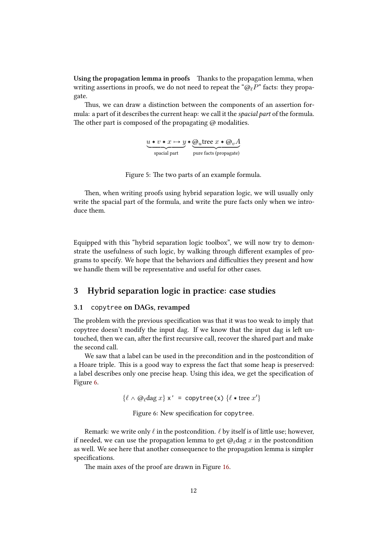**Using the propagation lemma in proofs** Thanks to the propagation lemma, when writing assertions in proofs, we do not need to repeat the "@*ℓP*" facts: they propagate.

Thus, we can draw a distinction between the components of an assertion formula: a part of it describes the current heap: we call it the *spacial part* of the formula. The other part is composed of the propagating  $\omega$  modalities.

$$
u * v * x \mapsto y * Q_u tree x * Q_v A
$$
  
spacial part  
pure facts (propagate)

Figure 5: The two parts of an example formula.

Then, when writing proofs using hybrid separation logic, we will usually only write the spacial part of the formula, and write the pure facts only when we introduce them.

Equipped with this "hybrid separation logic toolbox", we will now try to demonstrate the usefulness of such logic, by walking through different examples of programs to specify. We hope that the behaviors and difficulties they present and how we handle them will be representative and useful for other cases.

### **3 Hybrid separation logic in practice: case studies**

#### **3.1** copytree **on DAGs, revamped**

<span id="page-12-1"></span><span id="page-12-0"></span>The problem with the previous specification was that it was too weak to imply that copytree doesn't modify the input dag. If we know that the input dag is left untouched, then we can, after the first recursive call, recover the shared part and make the second call.

We saw that a label can be used in the precondition and in the postcondition of a Hoare triple. This is a good way to express the fact that some heap is preserved: a label describes only one precise heap. Using this idea, we get the specification of Figure 6.

 $\{\ell \wedge \Theta_\ell \text{dag } x\} \times' = \text{copytree}(x) \text{ } \{\ell * \text{tree } x'\}$ 

Figure 6: New specification for copytree.

Remark: we write only *ℓ* in the postcondition. *ℓ* by itself is of lile use; however, if needed, we can use the propagation lemma to get @*ℓ*dag *x* in the postcondition as well. We see here that another consequence to the propagation lemma is simpler specifications.

The main axes of the proof are drawn in Figure 16.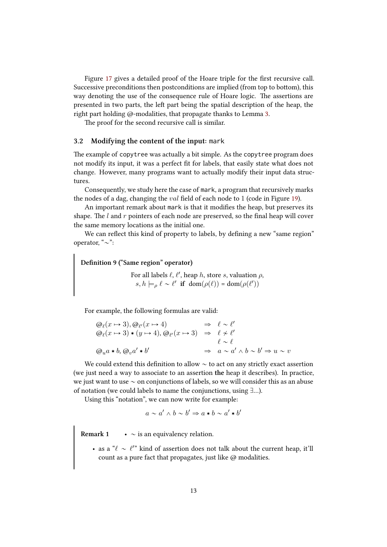Figure 17 gives a detailed proof of the Hoare triple for the first recursive call. Successive preconditions then postconditions are implied (from top to bottom), this way denoting the use of the consequence rule of Hoare logic. The assertions are presented in two parts, the left part being the spatial description of the heap, the right part [hol](#page-29-0)ding @-modalities, that propagate thanks to Lemma 3.

The proof for the second recursive call is similar.

#### **3.2 Modifying the content of the input:** mark

<span id="page-13-0"></span>The example of copytree was actually a bit simple. As the copytree program does not modify its input, it was a perfect fit for labels, that easily state what does not change. However, many programs want to actually modify their input data structures.

Consequently, we study here the case of mark, a program that recursively marks the nodes of a dag, changing the *val* field of each node to 1 (code in Figure 19).

An important remark about mark is that it modifies the heap, but preserves its shape. The *l* and *r* pointers of each node are preserved, so the final heap will cover the same memory locations as the initial one.

We can reflect this kind of property to labels, by defining a new "same [re](#page-30-0)gion" operator, " $\sim$ ":

**Definition 9 ("Same region" operator)**

For all labels  $\ell$ ,  $\ell'$ , heap  $h$ , store  $s$ , valuation  $\rho$ ,  $s, h \models_{\rho} \ell \sim \ell'$  if dom $(\rho(\ell)) = \text{dom}(\rho(\ell'))$ 

For example, the following formulas are valid:

$$
\begin{array}{rcl}\n\textcircled{a}_{\ell}(x \mapsto 3), \textcircled{a}_{\ell'}(x \mapsto 4) & \Rightarrow & \ell \sim \ell' \\
\textcircled{a}_{\ell}(x \mapsto 3) * (y \mapsto 4), \textcircled{a}_{\ell'}(x \mapsto 3) & \Rightarrow & \ell \not\sim \ell' \\
\textcircled{a}_{u}a * b, \textcircled{a}_{v}a' * b' & \Rightarrow & a \sim a' \wedge b \sim b' \Rightarrow u \sim v\n\end{array}
$$

We could extend this definition to allow  $\sim$  to act on any strictly exact assertion (we just need a way to associate to an assertion **the** heap it describes). In practice, we just want to use  $\sim$  on conjunctions of labels, so we will consider this as an abuse of notation (we could labels to name the conjunctions, using  $\exists...$ ).

Using this "notation", we can now write for example:

$$
a \sim a' \land b \sim b' \Rightarrow a * b \sim a' * b'
$$

**Remark 1**  $\bullet \sim$  is an equivalency relation.

• as a " $\ell \sim \ell''$  kind of assertion does not talk about the current heap, it'll count as a pure fact that propagates, just like  $@$  modalities.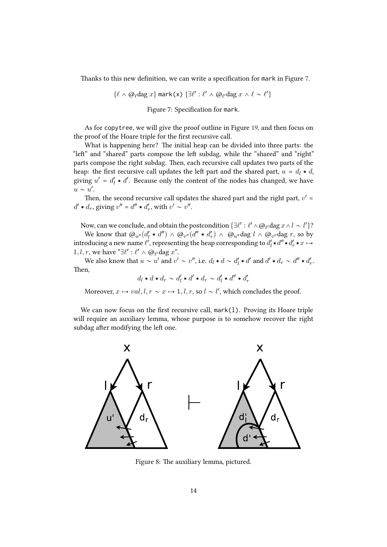Thanks to this new definition, we can write a specification for mark in Figure 7.

$$
\{\ell \, \wedge \, {\textup{\textcircled{a}}}_\ell \textup{dag }x\} \textup{ mark(x)}\ \{\exists \ell': \ell' \, \wedge \, {\textup{\textcircled{a}}}_{\ell'} \textup{dag }x \, \wedge \, \ell \sim \ell'\}
$$

Figure 7: Specification for mark.

As for copytree, we will give the proof outline in Figure 19, and then focus on the proof of the Hoare triple for the first recursive call.

What is happening here? The initial heap can be divided into three parts: the "left" and "shared" parts compose the left subdag, while the "shared" and "right" parts compose the right subdag. Then, each recursive call up[dat](#page-30-0)es two parts of the heap: the first recursive call updates the left part and the shared part,  $u = d_l * d$ , giving  $u' = d'_l * d'$ . Because only the content of the nodes has changed, we have  $u \sim u'.$ 

Then, the second recursive call updates the shared part and the right part,  $v'$  =  $d' \star d_r$ , giving  $v'' = d'' \star d'_r$ , with  $v' \sim v''$ .

Now, can we conclude, and obtain the postcondition  $\{\exists \ell':\ell'\wedge \textcircled{e}_{\ell'}\text{dag }x\wedge l\sim l'\}$ ?

We know that  $\omega_{u''}(d'_l * d'') \wedge \omega_{v''}(d'' * d'_r) \wedge \omega_{u''}$ dag  $l \wedge \omega_{v''}$ dag  $r$ , so by introducing a new name  $\ell'$ , representing the heap corresponding to  $d'_l * d'' * d'_r * x \mapsto$ 1, *l*, *r*, we have " $\exists \ell' : \ell' \land \textcircled{\theta_{\ell'}}$  dag *x*".

We also know that  $u \sim u'$  and  $v' \sim v''$ , i.e.  $d_l * d \sim d'_l * d'$  and  $d' * d_r \sim d'' * d'_r$ . Then,

 $d_l * d * d_r \sim d'_l * d' * d_r \sim d'_l * d'' * d''_r$ 

Moreover,  $x \mapsto val, l, r \sim x \mapsto 1, l, r$ , so  $l \sim l'$ , which concludes the proof.

We can now focus on the first recursive call, mark(l). Proving its Hoare triple will require an auxiliary lemma, whose purpose is to somehow recover the right subdag after modifying the left one.



Figure 8: The auxiliary lemma, pictured.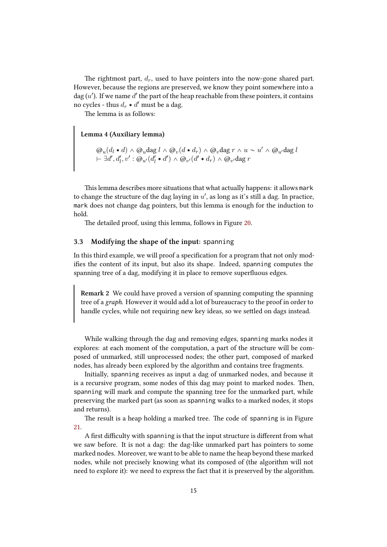The rightmost part,  $d_r$ , used to have pointers into the now-gone shared part. However, because the regions are preserved, we know they point somewhere into a  $\text{dag}\,(u')$ . If we name  $d'$  the part of the heap reachable from these pointers, it contains no cycles - thus  $d_r * d'$  must be a dag.

The lemma is as follows:

**Lemma 4 (Auxiliary lemma)**

<span id="page-15-1"></span> $\textcircled{a}_u(d_l * d) \wedge \textcircled{a}_u \text{dag } l \wedge \textcircled{a}_v (d * d_r) \wedge \textcircled{a}_v \text{dag } r \wedge u \sim u' \wedge \textcircled{a}_u \text{dag } l$  $\theta \vdash \exists d', d'_l, v' : \mathcal{Q}_{u'}(d'_l * d') \land \mathcal{Q}_{v'}(d' * d_r) \land \mathcal{Q}_{v'}$ dag *r* 

This lemma describes more situations that what actually happens: it allows mark to change the structure of the dag laying in  $u'$ , as long as it's still a dag. In practice, mark does not change dag pointers, but this lemma is enough for the induction to hold.

The detailed proof, using this lemma, follows in Figure 20.

#### **3.3 Modifying the shape of the input:** spanning

<span id="page-15-0"></span>In this third example, we will proof a specification for a pro[gra](#page-31-0)m that not only modifies the content of its input, but also its shape. Indeed, spanning computes the spanning tree of a dag, modifying it in place to remove superfluous edges.

**Remark 2** We could have proved a version of spanning computing the spanning tree of a *graph*. However it would add a lot of bureaucracy to the proof in order to handle cycles, while not requiring new key ideas, so we settled on dags instead.

While walking through the dag and removing edges, spanning marks nodes it explores: at each moment of the computation, a part of the structure will be composed of unmarked, still unprocessed nodes; the other part, composed of marked nodes, has already been explored by the algorithm and contains tree fragments.

Initially, spanning receives as input a dag of unmarked nodes, and because it is a recursive program, some nodes of this dag may point to marked nodes. Then, spanning will mark and compute the spanning tree for the unmarked part, while preserving the marked part (as soon as spanning walks to a marked nodes, it stops and returns).

The result is a heap holding a marked tree. The code of spanning is in Figure 21.

A first difficulty with spanning is that the input structure is different from what we saw before. It is not a dag: the dag-like unmarked part has pointers to some marked nodes. Moreover, we want to be able to name the heap beyond these marked [no](#page-31-1)des, while not precisely knowing what its composed of (the algorithm will not need to explore it): we need to express the fact that it is preserved by the algorithm.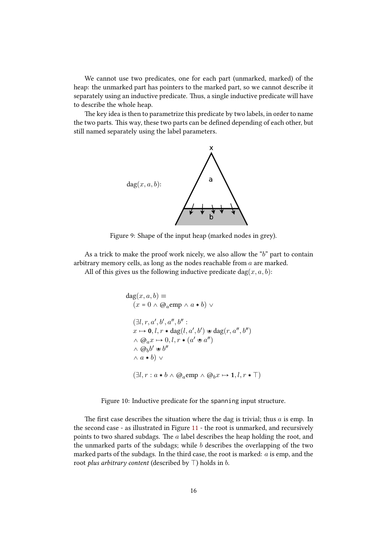We cannot use two predicates, one for each part (unmarked, marked) of the heap: the unmarked part has pointers to the marked part, so we cannot describe it separately using an inductive predicate. Thus, a single inductive predicate will have to describe the whole heap.

The key idea is then to parametrize this predicate by two labels, in order to name the two parts. This way, these two parts can be defined depending of each other, but still named separately using the label parameters.



Figure 9: Shape of the input heap (marked nodes in grey).

As a trick to make the proof work nicely, we also allow the "*b*" part to contain arbitrary memory cells, as long as the nodes reachable from *a* are marked.

All of this gives us the following inductive predicate dag $(x, a, b)$ :

$$
dag(x, a, b) \equiv
$$
  
\n
$$
(x = 0 \land @aemp \land a * b) \lor
$$
  
\n
$$
(\exists l, r, a', b', a'', b'' :
$$
  
\n
$$
x \mapsto \mathbf{0}, l, r * dag(l, a', b') * dag(r, a'', b'')
$$
  
\n
$$
\land @a x \mapsto 0, l, r * (a' * a'')
$$
  
\n
$$
\land @b b' * b''
$$
  
\n
$$
\land a * b) \lor
$$
  
\n
$$
(\exists l, r : a * b \land @aemp \land @b x \mapsto 1, l, r * \top)
$$

Figure 10: Inductive predicate for the spanning input structure.

The first case describes the situation where the dag is trivial; thus  $a$  is emp. In the second case - as illustrated in Figure 11 - the root is unmarked, and recursively points to two shared subdags. The *a* label describes the heap holding the root, and the unmarked parts of the subdags; while *b* describes the overlapping of the two marked parts of the subdags. In the third case, the root is marked: *a* is emp, and the root *plus arbitrary content* (described by  $\top$ ) holds in *b*.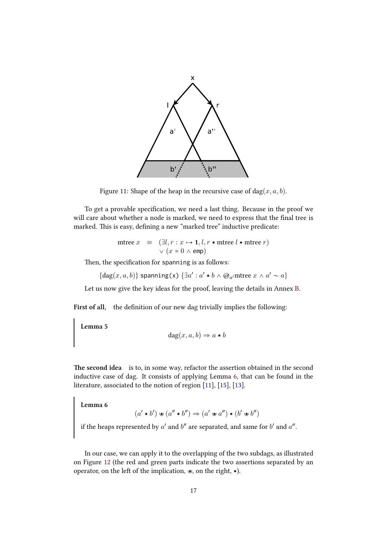

Figure 11: Shape of the heap in the recursive case of  $\text{dag}(x, a, b)$ .

To get a provable specification, we need a last thing. Because in the proof we will care about whether a node is marked, we need to express that the final tree is marked. This is easy, defining a new "marked tree" inductive predicate:

<span id="page-17-0"></span>
$$
\begin{array}{rcl}\n\text{mtree } x & \equiv & (\exists l, r: x \mapsto \mathbf{1}, l, r * \text{mtree } l * \text{mtree } r) \\
& \lor (x = 0 \land \text{emp})\n\end{array}
$$

Then, the specification for spanning is as follows:

$$
\{\deg(x,a,b)\} \text{ spanning(x) } \{\exists a': a' \ast b \wedge @_{a'} \text{mtree } x \wedge a' \sim a\}
$$

Let us now give the key ideas for the proof, leaving the details in Annex B.

**First of all,** the definition of our new dag trivially implies the following:

**Lemma 5**

$$
dg(x, a, b) \Rightarrow a * b
$$

<span id="page-17-2"></span>The second idea is to, in some way, refactor the assertion obtained in the second inductive case of dag. It consists of applying Lemma 6, that can be found in the literature, associated to the notion of region [11], [15], [13].

**Lemma 6**

$$
(a' * b') \circledast (a'' * b'') \Rightarrow (a' \circledast a'') * (b' \circledast b'')
$$

<span id="page-17-1"></span>if the heaps represented by  $a'$  and  $b''$  are separated, and same for  $b'$  and  $a''$ .

In our case, we can apply it to the overlapping of the two subdags, as illustrated on Figure 12 (the red and green parts indicate the two assertions separated by an operator, on the left of the implication,  $\ast$ , on the right,  $\ast$ ).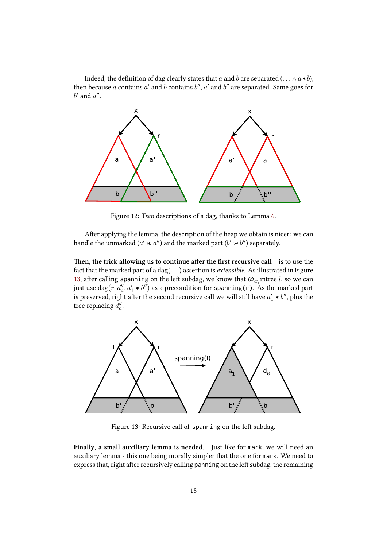Indeed, the definition of dag clearly states that *a* and *b* are separated ( $\ldots \wedge a * b$ ); then because  $a$  contains  $a'$  and  $b$  contains  $b''$ ,  $a'$  and  $b''$  are separated. Same goes for  $b'$  and  $a''$ .



Figure 12: Two descriptions of a dag, thanks to Lemma 6.

After applying the lemma, the description of the heap we obtain is nicer: we can handle the unmarked ( $a' \mathbin{\dot{\hspace{1pt}}}\mathbin{\dot{\hspace{1pt}}}} a''$ ) and the marked part ( $b' \mathbin{\dot{\hspace{1pt}}}\mathbin{\dot{\hspace{1pt}}}} b''$ ) separat[el](#page-17-1)y.

**Then, the trick allowing us to continue after the first recursive call** is to use the fact that the marked part of a dag(*. . .*) assertion is *extensible*. As illustrated in Figure 13, after calling spanning on the left subdag, we know that  $\omega_{a'_1}$  mtree *l*, so we can just use  $\mathrm{dag}(r, d''_a, a'_1 \ast b'')$  as a precondition for spanning(r). As the marked part is preserved, right after the second recursive call we will still have  $a'_1 \star b''$ , plus the [tre](#page-18-0)e replacing  $d''_a$ .



<span id="page-18-0"></span>Figure 13: Recursive call of spanning on the left subdag.

**Finally, a small auxiliary lemma is needed.** Just like for mark, we will need an auxiliary lemma - this one being morally simpler that the one for mark. We need to express that, right after recursively calling panning on the left subdag, the remaining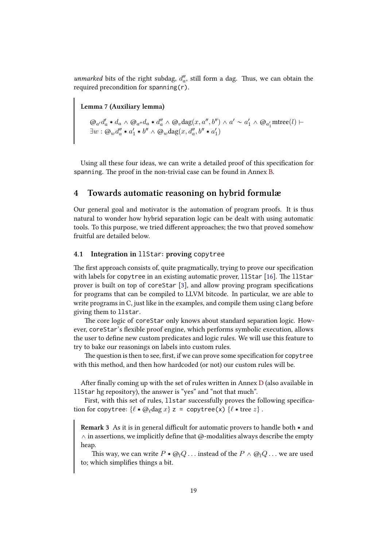*unmarked* bits of the right subdag,  $d''_a$ , still form a dag. Thus, we can obtain the required precondition for spanning(r).

**Lemma 7 (Auxiliary lemma)**

<span id="page-19-2"></span>
$$
\begin{aligned}\n\mathcal{Q}_{a'}d'_{a} * d_{a} &\wedge \mathcal{Q}_{a''}d_{a} * d''_{a} \wedge \mathcal{Q}_{v} \text{dag}(x, a'', b'') \wedge a' \sim a'_{1} \wedge \mathcal{Q}_{a'_{1}} \text{mtree}(l) \vdash \\
\exists w : \mathcal{Q}_{w}d''_{a} * a'_{1} * b'' \wedge \mathcal{Q}_{w} \text{dag}(x, d''_{a}, b'' * a'_{1})\n\end{aligned}
$$

Using all these four ideas, we can write a detailed proof of this specification for spanning. The proof in the non-trivial case can be found in Annex B.

# **4 Towards automatic reasoning on hybrid formulæ**

<span id="page-19-0"></span>Our general goal and motivator is the automation of program pr[oo](#page-32-0)fs. It is thus natural to wonder how hybrid separation logic can be dealt with using automatic tools. To this purpose, we tried different approaches; the two that proved somehow fruitful are detailed below.

#### **4.1 Integration in** llStar**: proving** copytree

<span id="page-19-1"></span>The first approach consists of, quite pragmatically, trying to prove our specification with labels for copytree in an existing automatic prover,  $11$ Star [16]. The llStar prover is built on top of coreStar [3], and allow proving program specifications for programs that can be compiled to LLVM bitcode. In particular, we are able to write programs in C, just like in the examples, and compile them us[ing](#page-25-7) clang before giving them to llstar.

The core logic of coreStar only [k](#page-24-1)nows about standard separation logic. However, coreStar's flexible proof engine, which performs symbolic execution, allows the user to define new custom predicates and logic rules. We will use this feature to try to bake our reasonings on labels into custom rules.

The question is then to see, first, if we can prove some specification for copytree with this method, and then how hardcoded (or not) our custom rules will be.

After finally coming up with the set of rules written in Annex D (also available in llStar hg repository), the answer is "yes" and "not that much".

First, with this set of rules, llstar successfully proves the following specification for copytree:  $\{ \ell * \varpi_{\ell} \}$  z = copytree(x)  $\{ \ell * \text{tree } z \}$ .

**Remark 3** As it is in general difficult for automatic provers to handle both  $*$  and  $\wedge$  in assertions, we implicitly define that @-modalities always describe the empty heap.

This way, we can write  $P * @_{l}Q \dots$  instead of the  $P \wedge @_{l}Q \dots$  we are used to; which simplifies things a bit.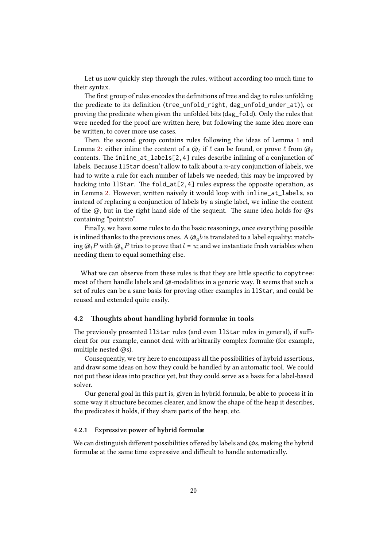Let us now quickly step through the rules, without according too much time to their syntax.

The first group of rules encodes the definitions of tree and dag to rules unfolding the predicate to its definition (tree\_unfold\_right, dag\_unfold\_under\_at)), or proving the predicate when given the unfolded bits (dag\_fold). Only the rules that were needed for the proof are written here, but following the same idea more can be written, to cover more use cases.

Then, the second group contains rules following the ideas of Lemma 1 and Lemma 2: either inline the content of a @*<sup>ℓ</sup>* if *ℓ* can be found, or prove *ℓ* from @*<sup>ℓ</sup>* contents. The inline\_at\_labels[2,4] rules describe inlining of a conjunction of labels. Because llStar doesn't allow to talk about a *n*-ary conjunction of labels, we had to write a rule for each number of labels we needed; this may be impro[ve](#page-10-1)d by hacking [i](#page-10-2)nto llStar. The fold\_at[2,4] rules express the opposite operation, as in Lemma 2. However, written naively it would loop with inline\_at\_labels, so instead of replacing a conjunction of labels by a single label, we inline the content of the  $\omega$ , but in the right hand side of the sequent. The same idea holds for  $\omega$ s containing "pointsto".

Finally[, w](#page-10-2)e have some rules to do the basic reasonings, once everything possible is inlined thanks to the previous ones. A  $\mathcal{Q}_a b$  is translated to a label equality; matching  $\omega_l P$  with  $\omega_u P$  tries to prove that  $l = u$ ; and we instantiate fresh variables when needing them to equal something else.

What we can observe from these rules is that they are little specific to copytree: most of them handle labels and @-modalities in a generic way. It seems that such a set of rules can be a sane basis for proving other examples in llStar, and could be reused and extended quite easily.

#### **4.2** Thoughts about handling hybrid formulæ in tools

The previously presented 11Star rules (and even 11Star rules in general), if sufficient for our example, cannot deal with arbitrarily complex formulæ (for example, multiple nested @s).

<span id="page-20-0"></span>Consequently, we try here to encompass all the possibilities of hybrid assertions, and draw some ideas on how they could be handled by an automatic tool. We could not put these ideas into practice yet, but they could serve as a basis for a label-based solver.

Our general goal in this part is, given in hybrid formula, be able to process it in some way it structure becomes clearer, and know the shape of the heap it describes, the predicates it holds, if they share parts of the heap, etc.

#### **4.2.1 Expressive power of hybrid formulæ**

<span id="page-20-1"></span>We can distinguish different possibilities offered by labels and  $\omega$ s, making the hybrid formulæ at the same time expressive and difficult to handle automatically.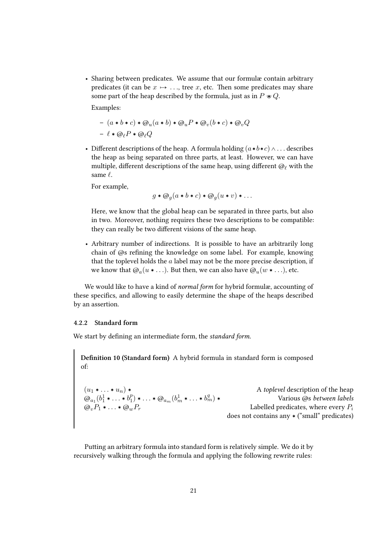• Sharing between predicates. We assume that our formulæ contain arbitrary predicates (it can be  $x \mapsto \ldots$ , tree *x*, etc. Then some predicates may share some part of the heap described by the formula, just as in  $P \ast Q$ .

Examples:

$$
- (a * b * c) * @u(a * b) * @uP * @v(b * c) * @vQ
$$

$$
- \ell * @lP * @lQ
$$

• Different descriptions of the heap. A formula holding  $(a * b * c) \wedge \ldots$  describes the heap as being separated on three parts, at least. However, we can have multiple, different descriptions of the same heap, using different @*<sup>ℓ</sup>* with the same *ℓ*.

For example,

$$
g * \mathcal{Q}_g(a * b * c) * \mathcal{Q}_g(u * v) * \dots
$$

Here, we know that the global heap can be separated in three parts, but also in two. Moreover, nothing requires these two descriptions to be compatible: they can really be two different visions of the same heap.

• Arbitrary number of indirections. It is possible to have an arbitrarily long chain of @s refining the knowledge on some label. For example, knowing that the toplevel holds the *a* label may not be the more precise description, if we know that  $@a(u \ast \ldots)$ . But then, we can also have  $@u(w \ast \ldots)$ , etc.

We would like to have a kind of *normal form* for hybrid formulæ, accounting of these specifics, and allowing to easily determine the shape of the heaps described by an assertion.

#### <span id="page-21-0"></span>**4.2.2 Standard form**

We start by defining an intermediate form, the *standard form*.

**Definition 10 (Standard form)** A hybrid formula in standard form is composed of:

 $(u_1 * \ldots * u_n) *$  A *toplevel* description of the heap  $\omega_{a_1} (b_1^1 \ast \ldots \ast b_1^p)$  $\binom{p}{1}$  \*  $\ldots$  \*  $\omega_{a_m}$   $(b_m^1 * \ldots * b_r^q)$ *<sup>m</sup>*) › Various @s *between labels*  $\omega_v P_1 * \ldots * \omega_w P_r$  Labelled predicates, where every  $P_i$ does not contains any  $\ast$  ("small" predicates)

Putting an arbitrary formula into standard form is relatively simple. We do it by recursively walking through the formula and applying the following rewrite rules: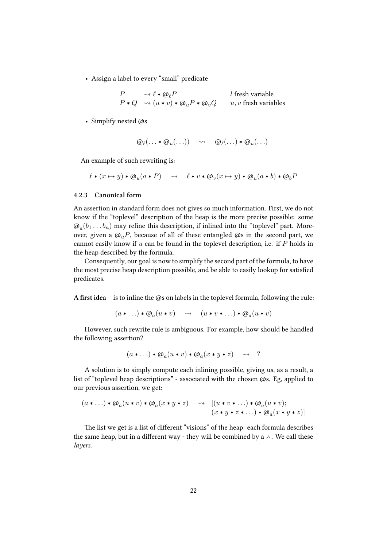• Assign a label to every "small" predicate

*P*  $\rightsquigarrow \ell * \mathcal{Q}_{\ell}P$  *l* fresh variable  $P * Q \longrightarrow (u * v) * @<sub>u</sub>P * @<sub>v</sub>Q \qquad u, v \text{ fresh variables}$ 

• Simplify nested @s

$$
\omega_{\ell}(\ldots * \omega_u(\ldots)) \quad \rightsquigarrow \quad \omega_{\ell}(\ldots) * \omega_u(\ldots)
$$

An example of such rewriting is:

$$
\ell \ast (x \mapsto y) \ast \varpi_u(a \ast P) \quad \leadsto \quad \ell \ast v \ast \varpi_v(x \mapsto y) \ast \varpi_u(a \ast b) \ast \varpi_b P
$$

#### <span id="page-22-0"></span>**4.2.3 Canonical form**

An assertion in standard form does not gives so much information. First, we do not know if the "toplevel" description of the heap is the more precise possible: some  $\mathcal{Q}_a(b_1 \ldots b_n)$  may refine this description, if inlined into the "toplevel" part. Moreover, given a  $\omega_{\mu}P$ , because of all of these entangled  $\omega$ s in the second part, we cannot easily know if *u* can be found in the toplevel description, i.e. if *P* holds in the heap described by the formula.

Consequently, our goal is now to simplify the second part of the formula, to have the most precise heap description possible, and be able to easily lookup for satisfied predicates.

**A first idea** is to inline the @s on labels in the toplevel formula, following the rule:

$$
(a * ...) * @a(u * v) \longrightarrow (u * v * ...) * @a(u * v)
$$

However, such rewrite rule is ambiguous. For example, how should be handled the following assertion?

$$
(a * ...) * @a(u * v) * @a(x * y * z) \longrightarrow ?
$$

A solution is to simply compute each inlining possible, giving us, as a result, a list of "toplevel heap descriptions" - associated with the chosen @s. Eg, applied to our previous assertion, we get:

$$
(a * ...)*@a(u * v)*@a(x * y * z) \rightarrow [ (u * v * ...)*@a(u * v);(x * y * z * ...)*@a(x * y * z)]
$$

The list we get is a list of different "visions" of the heap: each formula describes the same heap, but in a different way - they will be combined by a  $\wedge$ . We call these *layers*.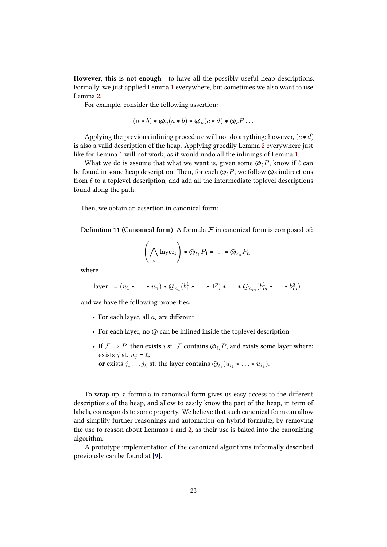**However, this is not enough** to have all the possibly useful heap descriptions. Formally, we just applied Lemma 1 everywhere, but sometimes we also want to use Lemma 2.

For example, consider the following assertion:

$$
(a * b) * @u(a * b) * @u(c * d) * @cP...
$$

Applying the previous inlining procedure will not do anything; however,  $(c * d)$ is also a valid description of the heap. Applying greedily Lemma 2 everywhere just like for Lemma 1 will not work, as it would undo all the inlinings of Lemma 1.

What we do is assume that what we want is, given some @*ℓP*, know if *ℓ* can be found in some heap description. Then, for each  $@$ <sub>*P*</sub> $P$ , we follow @s indirections from *ℓ* to a toplevel description, and add all the intermediate to[ple](#page-10-2)vel descr[ip](#page-10-1)tions found along the [p](#page-10-1)ath.

Then, we obtain an assertion in canonical form:

**Definition 11 (Canonical form)** A formula  $F$  in canonical form is composed of:

$$
\left(\bigwedge_i \text{layer}_i\right) * \mathcal{Q}_{\ell_1} P_1 * \ldots * \mathcal{Q}_{\ell_n} P_n
$$

where

layer ::= 
$$
(u_1 * \ldots * u_n) * \mathcal{Q}_{a_1}(b_1^1 * \ldots * 1^p) * \ldots * \mathcal{Q}_{a_m}(b_m^1 * \ldots * b_m^q)
$$

and we have the following properties:

- For each layer, all *a<sup>i</sup>* are different
- For each layer, no @ can be inlined inside the toplevel description
- If  $\mathcal{F} \Rightarrow P$ , then exists *i* st.  $\mathcal{F}$  contains  $\mathcal{Q}_{\ell_i}P$ , and exists some layer where: exists *j* st.  $u_j = \ell_i$
- **or** exists  $j_1 \ldots j_k$  st. the layer contains  $\omega_{\ell_i}(u_{i_1} * \ldots * u_{i_k})$ .

To wrap up, a formula in canonical form gives us easy access to the different descriptions of the heap, and allow to easily know the part of the heap, in term of labels, corresponds to some property. We believe that such canonical form can allow and simplify further reasonings and automation on hybrid formulæ, by removing the use to reason about Lemmas 1 and 2, as their use is baked into the canonizing algorithm.

A prototype implementation of the canonized algorithms informally described previously can be found at [9].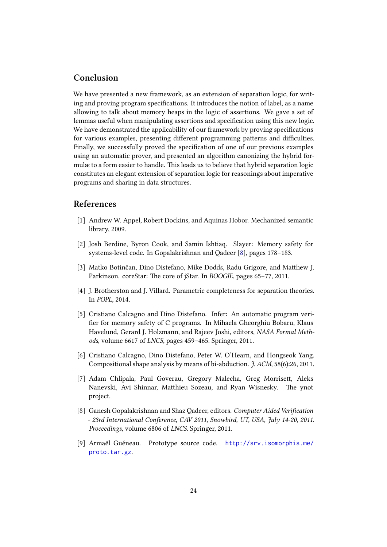# **Conclusion**

<span id="page-24-0"></span>We have presented a new framework, as an extension of separation logic, for writing and proving program specifications. It introduces the notion of label, as a name allowing to talk about memory heaps in the logic of assertions. We gave a set of lemmas useful when manipulating assertions and specification using this new logic. We have demonstrated the applicability of our framework by proving specifications for various examples, presenting different programming patterns and difficulties. Finally, we successfully proved the specification of one of our previous examples using an automatic prover, and presented an algorithm canonizing the hybrid formulæ to a form easier to handle. This leads us to believe that hybrid separation logic constitutes an elegant extension of separation logic for reasonings about imperative programs and sharing in data structures.

# **References**

- [1] Andrew W. Appel, Robert Dockins, and Aquinas Hobor. Mechanized semantic library, 2009.
- <span id="page-24-6"></span>[2] Josh Berdine, Byron Cook, and Samin Ishtiaq. Slayer: Memory safety for systems-level code. In Gopalakrishnan and Qadeer [8], pages 178–183.
- <span id="page-24-2"></span>[3] Matko Botinčan, Dino Distefano, Mike Dodds, Radu Grigore, and Matthew J. Parkinson. coreStar: The core of jStar. In *BOOGIE*, pages 65–77, 2011.
- <span id="page-24-1"></span>[4] J. Brotherston and J. Villard. Parametric completene[ss](#page-24-8) for separation theories. In *POPL*, 2014.
- <span id="page-24-7"></span>[5] Cristiano Calcagno and Dino Distefano. Infer: An automatic program verifier for memory safety of C programs. In Mihaela Gheorghiu Bobaru, Klaus Havelund, Gerard J. Holzmann, and Rajeev Joshi, editors, *NASA Formal Methods*, volume 6617 of *LNCS*, pages 459–465. Springer, 2011.
- <span id="page-24-4"></span>[6] Cristiano Calcagno, Dino Distefano, Peter W. O'Hearn, and Hongseok Yang. Compositional shape analysis by means of bi-abduction. *J. ACM*, 58(6):26, 2011.
- <span id="page-24-3"></span>[7] Adam Chlipala, Paul Goverau, Gregory Malecha, Greg Morrisett, Aleks Nanevski, Avi Shinnar, Matthieu Sozeau, and Ryan Wisnesky. The ynot project.
- <span id="page-24-5"></span>[8] Ganesh Gopalakrishnan and Shaz Qadeer, editors. *Computer Aided Verification - 23rd International Conference, CAV 2011, Snowbird, UT, USA, July 14-20, 2011. Proceedings*, volume 6806 of *LNCS*. Springer, 2011.
- <span id="page-24-8"></span>[9] Armaël Guéneau. Prototype source code. http://srv.isomorphis.me/ proto.tar.gz.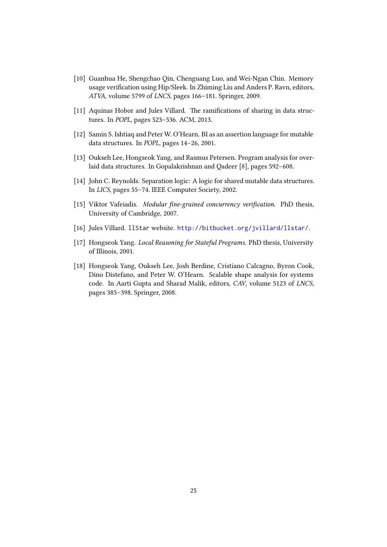- [10] Guanhua He, Shengchao Qin, Chenguang Luo, and Wei-Ngan Chin. Memory usage verification using Hip/Sleek. In Zhiming Liu and Anders P. Ravn, editors, *ATVA*, volume 5799 of *LNCS*, pages 166–181. Springer, 2009.
- <span id="page-25-2"></span>[11] Aquinas Hobor and Jules Villard. The ramifications of sharing in data structures. In *POPL*, pages 523–536. ACM, 2013.
- <span id="page-25-3"></span>[12] Samin S. Ishtiaq and Peter W. O'Hearn. BI as an assertion language for mutable data structures. In *POPL*, pages 14–26, 2001.
- [13] Oukseh Lee, Hongseok Yang, and Rasmus Petersen. Program analysis for overlaid data structures. In Gopalakrishnan and Qadeer [8], pages 592–608.
- <span id="page-25-6"></span>[14] John C. Reynolds. Separation logic: A logic for shared mutable data structures. In *LICS*, pages 55–74. IEEE Computer Society, 2002.
- <span id="page-25-0"></span>[15] Viktor Vafeiadis. *Modular fine-grained concurrency [v](#page-24-8)erification*. PhD thesis, University of Cambridge, 2007.
- <span id="page-25-5"></span>[16] Jules Villard. llStar website. http://bitbucket.org/jvillard/llstar/.
- [17] Hongseok Yang. *Local Reasoning for Stateful Programs*. PhD thesis, University of Illinois, 2001.
- <span id="page-25-7"></span><span id="page-25-4"></span><span id="page-25-1"></span>[18] Hongseok Yang, Oukseh Lee, [Josh Berdine, Cristiano Calcagno, Byron Coo](http://bitbucket.org/jvillard/llstar/)k, Dino Distefano, and Peter W. O'Hearn. Scalable shape analysis for systems code. In Aarti Gupta and Sharad Malik, editors, *CAV*, volume 5123 of *LNCS*, pages 385–398. Springer, 2008.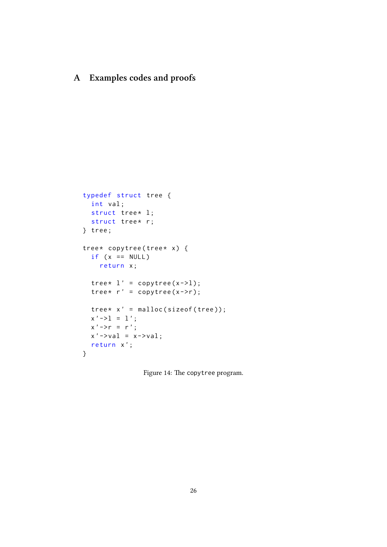# <span id="page-26-0"></span>**A Examples codes and proofs**

```
typedef struct tree {
  int val ;
  struct tree* 1;
  struct tree* r;
} tree ;
tree* copytree(tree* x) {
  if (x == NULL)return x ;
  tree* l' = \text{copytree}(x - 1);tree* r' = copytree(x->r));tree * x' = malloc(sizeof(tree));x' -1 = 1';x' \rightarrow r = r';x' ->val = x->val;
  return x ';
}
```
<span id="page-26-1"></span>Figure 14: The copytree program.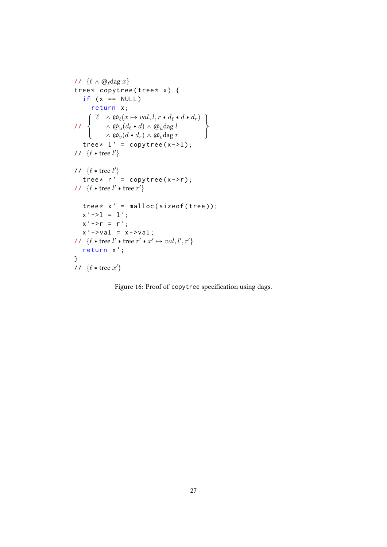```
\ell \wedge \omega_\elldag x}
tree* copytree(tree* x) {
   if (x == NULL)return x ;
//
      \int\int\mathcal{L}\ell \quad \land \mathcal{Q}_{\ell}(x \mapsto val, l, r * d_{\ell} * d * d_{r})\wedge \omega_u(d_\ell * d) \wedge \omega_u d \le l\wedge \omega_v(d * d_r) \wedge \omega_vdag r
                                                          \mathcal{L}\mathcal{L}\inttree* l' = \text{copytree}(x - >l);
// {\ell * tree l'}
// {\ell * tree l'}
   tree* r' = copytree(x->r));11 \ \{l * \text{tree } l' * \text{tree } r'\}tree * x' = malloc(sizeof(tree));x' -1 = 1';x' \rightarrow r = r';x' ->val = x->val;
\ell \cdot \text{tree } l' \cdot \text{tree } r' \cdot x' \mapsto val, l', r'return x ';
}
// {\ell * tree x'}
```
Figure 16: Proof of copytree specification using dags.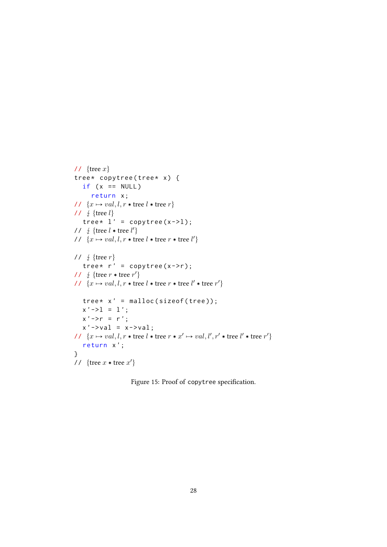```
// \{tree x\}tree* copytree(tree* x) {
   if (x == NULL)return x ;
// \{x \mapsto val, l, r \times \text{tree } l \times \text{tree } r\}// \frac{1}{2} {tree l}
   tree* l' = \text{copytree}(x - >l);
// \frac{1}{2} {tree l * tree l'}
\forall l \ \{x \mapsto val, l, r \star \text{tree } l \star \text{tree } r \star \text{tree } l'\}// \frac{1}{2} {tree r}
   tree* r' = \text{copytree}(x - r);
// \frac{1}{2} {tree r * tree r'}
// \{x \mapsto val, l, r * \text{tree } l * \text{tree } r * \text{tree } l' * \text{tree } r'\}tree * x' = malloc(sizeof(tree));x' -1 = 1';x' ->r = r';
   x' ->val = x->val;
\forall l \ \{x \mapsto val, l, r * \text{tree } l * \text{tree } r * x' \mapsto val, l', r' * \text{tree } l' * \text{tree } r'\}return x ';
}
// \{tree x * tree x'\}
```
Figure 15: Proof of copytree specification.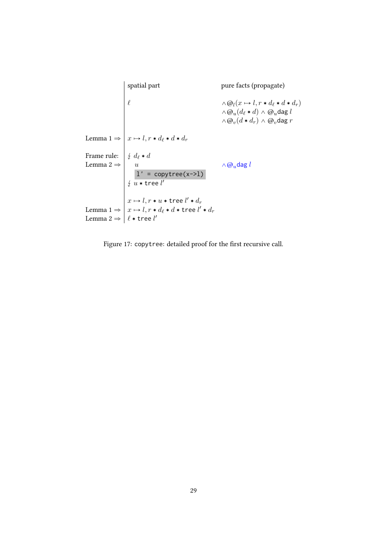spatial part pure facts (propagate)  $\ell \wedge \mathcal{Q}_l(x \mapsto l, r * d_{\ell} * d * d_r)$  $\wedge \mathcal{Q}_u(d_\ell * d) \wedge \mathcal{Q}_u$ dag *l*  $\wedge \mathcal{Q}_v(d*d_r) \wedge \mathcal{Q}_v$ dag *r* Lemma  $1 \Rightarrow x \mapsto l, r * d_{\ell} * d * d_r$ Frame rule: *<sup>d</sup><sup>ℓ</sup>* › *<sup>d</sup>* Lemma 2  $\Rightarrow$   $\begin{array}{ccc} u & \wedge & \wedge & \omega_u \neq u \end{array}$  $l' = copytree(x->1)$  $\frac{1}{2}$   $\frac{1}{u}$  **\*** tree  $l'$  $x \mapsto l, r * u * \text{tree } l' * d_r$ Lemma 1  $\Rightarrow$   $\mid x \mapsto l, r \ast d_{\ell} \ast d \ast$  tree  $l' \ast d_r$ Lemma 2 ⇒ | ℓ ∗ tree *l'* 

<span id="page-29-0"></span>Figure 17: copytree: detailed proof for the first recursive call.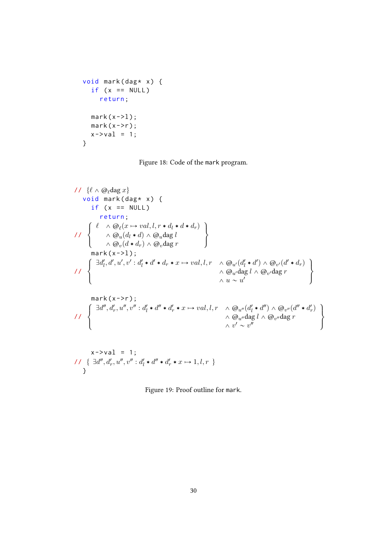```
void mark(dag* x) {
  if (x == NULL)return ;
  mark(x->1);mark(x->r);x - > val = 1;
}
```
Figure 18: Code of the mark program.

```
\n// {
$$
\ell \wedge \text{@}_\ell \text{dag } x
$$
}\nvoid mark(dag * x) {\n    if (x == NULL)\n        return;\n\n// { $\ell \wedge \text{@}_\ell(x \rightarrow val, l, r * d_l * d * d_r)$ \n\n//  $\left\{\n    \begin{array}{c}\n    \wedge \text{@}_\ell(d_i * d) \wedge \text{@}_\ell \text{dag } l \\
    \wedge \text{@}_\nu(d * d_r) \wedge \text{@}_\nu \text{dag } r\n    \end{array}\n\right\}$ \nmark(x >=1);\n\n// { $\exists d'_1, d', u', v' : d'_l * d' * d_r * x \mapsto val, l, r \wedge \text{@}_\nu(d'_l * d') \wedge \text{@}_\nu(d'_\ell * d_r)\n    \wedge \text{@}_\nu \text{dag } l \wedge \text{@}_\nu \text{dag } r\n    \wedge u \sim u'\n    \end{array}$ \n}
```

<span id="page-30-0"></span>
$$
x \to \text{val} = 1;
$$
  
\n
$$
1 \{ \exists d'', d'_r, u'', v'' : d'_l * d'' * d'_r * x \mapsto 1, l, r \}
$$
  
\n}

Figure 19: Proof outline for mark.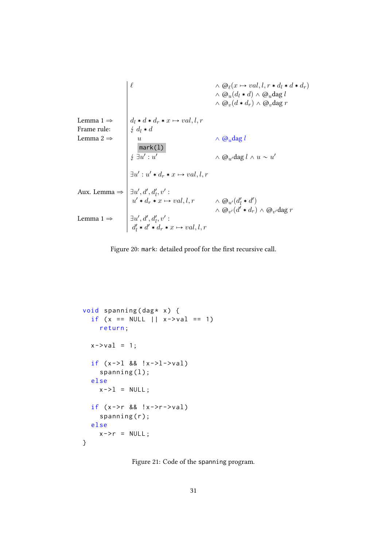$$
\begin{array}{c}\n\ell \quad \wedge \textcircled{a}\varphi(x \mapsto val, l, r * d_l * d * d_r) \\
\wedge \textcircled{a}\varphi(d_l * d) \wedge \textcircled{a}\varphi dag l \\
\wedge \textcircled{a}\varphi(d * d_r) \wedge \textcircled{a}\varphi dag l \\
\downarrow \text{Frame rule:} \\
\downarrow d_l * d * d_r * x \mapsto val, l, r \\
\downarrow \exists u' : u' \\
\downarrow \exists u' : u' \\
\wedge \textcircled{a}\varphi dag l \wedge u \sim u' \\
\downarrow \exists u' : u' * d_r * x \mapsto val, l, r \\
\wedge \textcircled{a}\varphi dag l \wedge u \sim u' \\
\downarrow \exists u' : u' * d_r * x \mapsto val, l, r \\
\wedge \textcircled{a}\varphi(d_l' * d') \\
\downarrow \text{Lemma 1} \Rightarrow\n\end{array}
$$
\n
$$
\begin{array}{c}\n\ell \quad \wedge \textcircled{a}\varphi(x \mapsto val, l, r * d_l * d * d_r) \\
\downarrow \text{if } \ell \quad \wedge \textcircled{a}\varphi(x \mapsto d_r) \\
\downarrow \forall d_r * x \mapsto val, l, r \\
\wedge \textcircled{a}\varphi(d_l' * d_r) \wedge \textcircled{a}\varphi dag r \\
\downarrow \exists u', d', d'_l, v': \\
\downarrow d'_l * d' * d_r * x \mapsto val, l, r\n\end{array}
$$
\n
$$
\text{Lemma 1} \Rightarrow
$$

<span id="page-31-0"></span>Figure 20: mark: detailed proof for the first recursive call.

```
void spanning (dag * x) {
  if (x == NULL || x->val == 1)return ;
  x - > v a l = 1;
  if (x - > 1 \& 8 \& |x - > 1 - > v a]spanning(1);else
    x - > 1 = NULL;
  if (x->r 88 !x->r->val)spanning(r);
  else
    x - > r = NULL;}
```
<span id="page-31-1"></span>Figure 21: Code of the spanning program.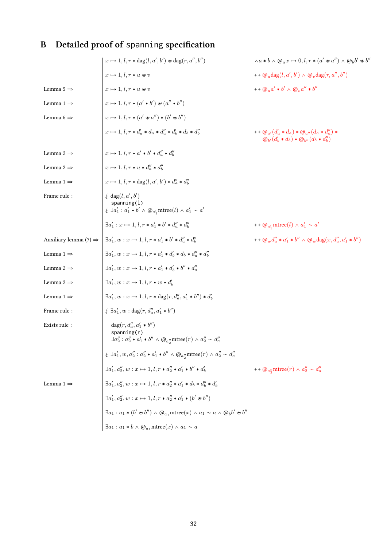# <span id="page-32-0"></span>**B Detailed proof of** spanning **specification**

|                                   | $x \mapsto 1, l, r * \text{dag}(l, a', b') \bullet \text{dag}(r, a'', b'')$                                                                                                                                                                                             | $\wedge a * b \wedge @_{a} x \mapsto 0, l, r * (a' * a'') \wedge @_{b} b' * b''$                                                                             |
|-----------------------------------|-------------------------------------------------------------------------------------------------------------------------------------------------------------------------------------------------------------------------------------------------------------------------|--------------------------------------------------------------------------------------------------------------------------------------------------------------|
|                                   | $x \mapsto 1, l, r * u * v$                                                                                                                                                                                                                                             | ++ $\omega_u$ dag(l, a', b') $\wedge \omega_v$ dag(r, a'', b'')                                                                                              |
| Lemma 5 $\Rightarrow$             | $x \mapsto 1, l, r * u * v$                                                                                                                                                                                                                                             | $++\omega_n a' * b' \wedge \omega_n a'' * b''$                                                                                                               |
| Lemma $1 \Rightarrow$             | $x \mapsto 1, l, r * (a' * b') \otimes (a'' * b'')$                                                                                                                                                                                                                     |                                                                                                                                                              |
| Lemma 6 $\Rightarrow$             | $x \mapsto 1, l, r * (a' * a'') * (b' * b'')$                                                                                                                                                                                                                           |                                                                                                                                                              |
|                                   | $x \mapsto 1, l, r * d'_a * d_a * d''_a * d'_b * d_b * d''_b$                                                                                                                                                                                                           | $+q_{\alpha'}(d'_{\alpha}*d_{\alpha})*\omega_{\alpha''}(d_{\alpha}*d''_{\alpha})*$<br>$\omega_{\nu}(d'_{\nu}*d_{\nu})*\omega_{\nu\prime}(d_{\nu}*d''_{\nu})$ |
| Lemma 2 $\Rightarrow$             | $x \mapsto 1, l, r * a' * b' * d''_a * d''_b$                                                                                                                                                                                                                           |                                                                                                                                                              |
| Lemma 2 $\Rightarrow$             | $x \mapsto 1, l, r * u * d''_a * d''_b$                                                                                                                                                                                                                                 |                                                                                                                                                              |
| Lemma $1 \Rightarrow$             | $x \mapsto 1, l, r * \text{dag}(l, a', b') * d''_a * d''_b$                                                                                                                                                                                                             |                                                                                                                                                              |
| Frame rule:                       | $\frac{1}{2}$ dag(l, a', b')<br>spanning(1)<br>$\frac{1}{4}$ $\exists a'_1 : a'_1 * b' \wedge \mathcal{Q}_{a'_1}$ mtree $(l) \wedge a'_1 \sim a'$                                                                                                                       |                                                                                                                                                              |
|                                   | $\exists a'_1: x \mapsto 1, l, r * a'_1 * b' * d''_a * d''_b$                                                                                                                                                                                                           | ++ $\omega_{a'_1}$ mtree(l) $\wedge a'_1 \sim a'$                                                                                                            |
| Auxiliary lemma (7) $\Rightarrow$ | $\exists a'_1, w : x \mapsto 1, l, r * a'_1 * b' * d''_a * d''_b$                                                                                                                                                                                                       | ++ $@_{w}d''_{a}*a'_{1}*b'' \wedge @_{w}dag(x,d''_{a},a'_{1}*b'')$                                                                                           |
| Lemma $1 \Rightarrow$             | $\exists a'_1, w : x \mapsto 1, l, r * a'_1 * d'_b * d_b * d''_a * d''_b$                                                                                                                                                                                               |                                                                                                                                                              |
| Lemma 2 $\Rightarrow$             | $\exists a'_1, w : x \mapsto 1, l, r * a'_1 * d'_b * b'' * d''_a$                                                                                                                                                                                                       |                                                                                                                                                              |
| Lemma 2 $\Rightarrow$             | $\exists a'_1, w : x \mapsto 1, l, r * w * d'_b$                                                                                                                                                                                                                        |                                                                                                                                                              |
| Lemma $1 \Rightarrow$             | $\exists a'_1, w : x \mapsto 1, l, r * \text{dag}(r, d''_a, a'_1 * b'') * d'_b$                                                                                                                                                                                         |                                                                                                                                                              |
| Frame rule:                       | $\frac{1}{2} \exists a'_1, w : \text{dag}(r, d''_a, a'_1 * b'')$                                                                                                                                                                                                        |                                                                                                                                                              |
| Exists rule :                     | $\text{dag}(r,d''_a,a'_1 * b'')$<br>spanning(r)<br>$\exists a_2'' : a_2'' * a_1' * b'' \wedge @_{a_2''}$ mtree $(r) \wedge a_2'' \sim d_a''$                                                                                                                            |                                                                                                                                                              |
|                                   |                                                                                                                                                                                                                                                                         |                                                                                                                                                              |
|                                   | $\label{eq:G1} \begin{split} &\n\hbox{$\not\downarrow$} \ \exists a_1', w, a_2'': a_2'' \ast a_1' \ast b'' \wedge @_{a_2''} \mathrm{mtree}(r) \wedge a_2'' \sim d_a''\\ &\exists a_1', a_2'', w: x \mapsto 1, l, r \ast a_2'' \ast a_1' \ast b'' \ast d_b' \end{split}$ | ++ $\omega_{a_2^{\prime\prime}}$ mtree $(r) \wedge a_2^{\prime\prime} \sim d_a^{\prime\prime}$                                                               |
| Lemma 1 $\Rightarrow$             | $\exists a'_1, a''_2, w : x \mapsto 1, l, r * a''_2 * a'_1 * d_b * d''_b * d'_b$                                                                                                                                                                                        |                                                                                                                                                              |
|                                   | $\exists a_1',a_2'',w:x\mapsto 1, l, r*a_2''*a_1'*\left(b'\circledast b''\right)$                                                                                                                                                                                       |                                                                                                                                                              |
|                                   | $\exists a_1 : a_1 * (b' \oplus b'') \wedge @_{a_1}$ mtree $(x) \wedge a_1 \sim a \wedge @_{b}b' \oplus b''$                                                                                                                                                            |                                                                                                                                                              |
|                                   | $\exists a_1 : a_1 * b \land @_{a_1}$ mtree $(x) \land a_1 \sim a$                                                                                                                                                                                                      |                                                                                                                                                              |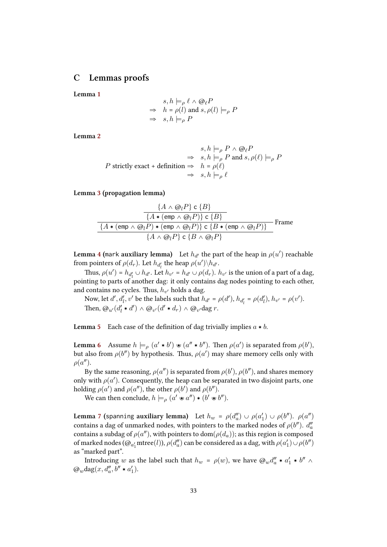### **C Lemmas proofs**

<span id="page-33-0"></span>**Lemma 1**

$$
s, h \models_{\rho} \ell \land \textcircled{e}_{\ell} P
$$
  
\n
$$
\Rightarrow h = \rho(l) \text{ and } s, \rho(l) \models_{\rho} P
$$
  
\n
$$
\Rightarrow s, h \models_{\rho} P
$$

**Lemma 2**

$$
s, h \models_{\rho} P \land \textcircled{e}_{\ell} P
$$
\n
$$
\Rightarrow \quad s, h \models_{\rho} P \text{ and } s, \rho(\ell) \models_{\rho} P
$$
\n
$$
\text{ strictly exact } + \text{definition } \Rightarrow \quad h = \rho(\ell)
$$
\n
$$
\Rightarrow \quad s, h \models_{\rho} \ell
$$

**Lemma 3 (propagation lemma)**

$$
\frac{\{A \wedge @_{l}P\} \in \{B\}}{\{A * (emp \wedge @_{l}P) \} \in \{B\}}
$$
\n
$$
\frac{\{A * (emp \wedge @_{l}P)\} \in \{B\}}{\{A * (emp \wedge @_{l}P) * (emp \wedge @_{l}P)\} \in \{B * (emp \wedge @_{l}P)\}}}
$$
\nFrame

\n
$$
\{A \wedge @_{l}P\} \in \{B \wedge @_{l}P\}
$$

 ${\bf Lemma~4}$  (mark  ${\bf auxiliary~ lemma}$ ) Let  $h_{d'}$  the part of the heap in  $\rho(u')$  reachable from pointers of  $\rho(d_r)$ . Let  $h_{d'_l}$  the heap  $\rho(u') \backslash h_{d'}$ .

Thus,  $\rho(u') = h_{d'_l} \cup h_{d'}$ . Let  $h_{v'} = h_{d'} \cup \rho(d_r)$ .  $h_{v'}$  is the union of a part of a dag, pointing to parts of another dag: it only contains dag nodes pointing to each other, and con[ta](#page-15-1)ins no cycles. Thus,  $h_{v'}$  holds a dag.

Now, let  $d', d'_l, v'$  be the labels such that  $h_{d'} = \rho(d'), h_{d'_l} = \rho(d'_l), h_{v'} = \rho(v').$ Then,  $\omega_{u'}(d'_l * d') \wedge \omega_{v'}(d' * d_r) \wedge \omega_{v'}$ dag *r*.

**Lemma** 5 Each case of the definition of dag trivially implies  $a * b$ .

**Lemma** 6 Assume  $h \models \rho (a' * b') \ast (a'' * b'')$ . Then  $\rho(a')$  is separated from  $\rho(b')$ , but also [f](#page-17-2)rom  $\rho(b'')$  by hypothesis. Thus,  $\rho(a')$  may share memory cells only with  $\rho(a'')$ .

By the same reasoning,  $\rho(a'')$  is separated from  $\rho(b'),$   $\rho(b'')$ , and shares memory only wi[th](#page-17-1)  $\rho(a')$ . Consequently, the heap can be separated in two disjoint parts, one holding  $\rho(a')$  and  $\rho(a'')$ , the other  $\rho(b')$  and  $\rho(b'')$ .

We can then conclude,  $h \models_{\rho} (a' \mathbin{\text{w}} a'') \ast (b' \mathbin{\text{w}} b'')$ .

**Lemma 7** (spanning auxiliary lemma) Let  $h_w = \rho(d''_a) \cup \rho(a'_1) \cup \rho(b'')$ .  $\rho(a'')$ contains a dag of unmarked nodes, with pointers to the marked nodes of  $\rho(b'')$ .  $d''_a$  $\operatorname{contains}$  a subdag of  $\rho(a'')$ , with pointers to  $\operatorname{dom}(\rho(d_a))$ ; as this region is composed of marked nodes  $(\varpi_{a'_1}$ mtree $(l)$ ),  $\rho(d''_a)$  can be considered as a dag, with  $\rho(a'_1) \cup \rho(b'')$ as "mar[ke](#page-19-2)d part".

Introducing *w* as the label such that  $h_w = \rho(w)$ , we have  $\omega_w d_a'' * a_1' * b'' \wedge$  $\omega_w$ dag(*x*,  $d''_a$ ,  $b'' * a'_1$ ).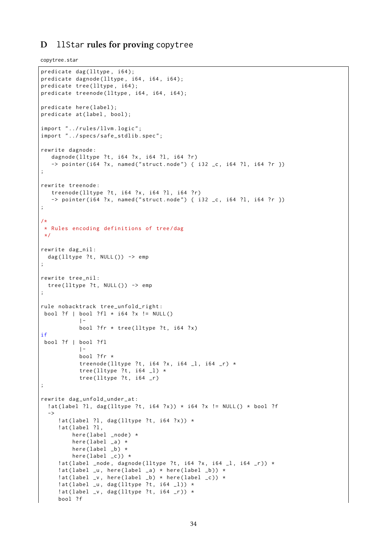## <span id="page-34-0"></span>**D** llStar **rules for proving** copytree

copytree.star

```
predicate dag (lltype, i64);
predicate dagnode ( lltype , i64 , i64 , i64 );
predicate tree (lltype, i64);
predicate treenode (lltype, i64, i64, i64);
predicate here(label);
predicate at (label, bool);
import "../rules/llvm.logic";
import "../specs/safe_stdlib.spec";
rewrite dagnode :
   dagnode (lltype ?t, i64 ?x, i64 ?l, i64 ?r)
   \rightarrow pointer(i64 ?x, named("struct.node") { i32 _c, i64 ?l, i64 ?r })
;
rewrite treenode :
   treenode ( 11 type ?t, 164 ?x, 164 ?1, 164 ?r)\rightarrow pointer(i64 ?x, named("struct.node") { i32 _c, i64 ?l, i64 ?r })
;
/*
* Rules encoding definitions of tree /dag
*/
rewrite dag_nil :
 dag (lltype ?t, NULL()) -> emp
;
rewrite tree_nil :
 tree (lltype ?t, NULL ()) -> emp
;
rule nobacktrack tree_unfold_right :
bool ?f \mid bool ?f1 \cdot 164 ?x != NULL()
            |-
           bool ? fr * tree (lltype ?t, i64 ?x)
if
bool ?f | bool ?fl
            | –
           bool ? fr *
           treenode (lltype ?t, i64 ?x, i64 -1, i64 -r) *
           tree (lltype ?t, i64 _l) *
           tree ( 11 type ?t, 164 r);
rewrite dag_unfold_under_at :
  !at (label ?l, dag (lltype ?t, i64 ?x)) * i64 ?x != NULL () * bool ?f
  ->
     lat(label ?l, dag(lltype ?t, i64 ?x)) *
     !at (label ?l,
         here (label _node) *
         here (label_{a} -a) *
         here (label _b) *
         here (label_c) *
     !at (label _node, dagnode (lltype ?t, i64 ?x, i64 _l, i64 _r)) *
     : at (label _u, here (label _a) * here (label _b)) *
     : at (label _v, here (label _b) * here (label _c)) *
     !at(label _u, dag(lltype ?t, i64 _l)) *
     lat(label_v, dag(lltype ?t, i64_r)) *bool ?f
```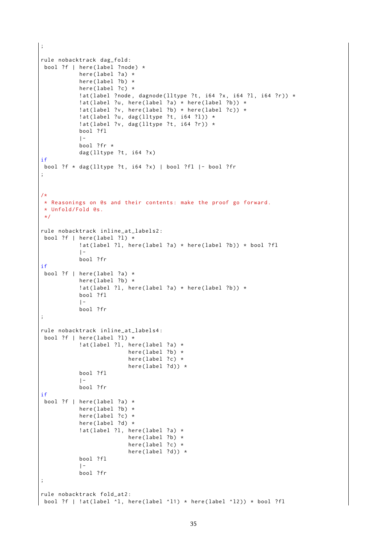```
;
rule nobacktrack dag_fold :
bool ?f | here(label ?node) *
            here (label ?a) *here (label ?b) \starhere (label ?c) *
            !at (label ?node, dagnode (lltype ?t, i64 ?x, i64 ?l, i64 ?r)) *
            !at (label ?u, here (label ?a) * here (label ?b)) *
            !at ( label ?v, here ( label ?b ) * here ( label ?c ) ) *
            lat(label ?u, dag(lltype ?t, i64 ?l)) *!at(label ?v, dag(lltype ?t, i64 ?r)) *bool ? fl
            |-
            bool ? fr *
            dag (lltype ?t, i64 ?x)
if
bool ?f * dag(11 type ?t, i64 ?x) | bool ?fl |- bool ?fr;
/*
* Reasonings on @s and their contents : make the proof go forward .
 * Unfold / Fold @s.
 */
rule nobacktrack inline_at_labels2 :
bool ?f | here(label ?l) *!at ( label ? l, here ( label ? a ) * here ( label ? b ) ) * bool ? fl
            | –
            bool ? fr
if
bool ?f \mid \text{here}(\text{label ?a}) *
            here (label ?b) *lat(label ?l, here(label ?a) * here(label ?b)) *bool ? fl
            | -
            bool ? fr
;
rule nobacktrack inline_at_labels4 :
bool ?f \mid \text{here}(\text{label } ?1) \times!at(label ?1, here(label ?a) *here (label ?b) *here (label ?c) *
                           here (label ?d)) *bool ? fl
            | –
            bool ? fr
if
bool ?f | here(label ?a) *here (label ?b) *
            here (label ?c) *
            here (label ?d) *!at (label ?l, here (label ?a) *
                           here (label ?b) \starhere (label?c) *
                           here (label ?d)) *bool ? fl
            | -bool ? fr
;
rule nobacktrack fold_at2 :
bool ?f | !at(label ^1, here(label ^11) * here(label ^12)) * bool ?fl
```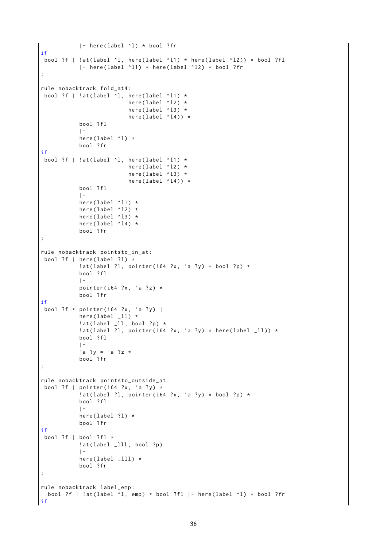```
|- here ( label ^ l ) * bool ? fr
if
bool ?f | !at(label ^1, here(label ^11) * here(label ^12)) * bool ?fl
            |- here (label \wedge l1) * here (label \wedge l2) * bool ? fr
;
rule nobacktrack fold_at4 :
bool ?f | !at(label \lambdal, here(label \lambda11) *
                            here (label '12) *here (label '13) *here (label '14) *
            bool ? fl
            | –
            here (label '1) *bool ? fr
if
 bool ?f | !at (label \lambdal, here (label \lambda11) *
                            here (label '12) *here (label '13) *here (label '14) *
            bool ? fl
            | –
            here (label '11 *
            here (label '12) *
            here (label '13) *
            here (label '14) *bool ? fr
;
rule nobacktrack pointsto_in_at :
bool ?f \mid \text{here}(\text{label ?l}) *
            !at (label ?l, pointer (i64 ?x, 'a ?y) * bool ?p) *
            bool ? fl
            |-
            pointer (i64 ?x, 'a ?z) *
            bool ? fr
if
bool ?f * pointer(i64 ?x, 'a ?y) |
            here (label11) *!at(label_l1,bool?p) *!at ( label ? l, pointer ( i64 ?x, 'a ?y ) * here ( label \lfloor 11 \rfloor ) *
            bool ? fl
            | –
            'a ?y = 'a ?z *
            bool ? fr
;
rule nobacktrack pointsto_outside_at :
bool ?f | pointer (i64 ?x, 'a ?y) *
            !at ( label ? l, pointer ( i64 ?x, 'a ? y ) * bool ? p ) *
            bool ? fl
            | –
            here (label?l) *
            bool ? fr
if
 bool ?f | bool ?f1 *
            lat(label _111, bool ?p)
            | –
            here (label111) *
            bool ? fr
;
rule nobacktrack label_emp :
  bool ?f | !at(label ^1, emp) * bool ?fl |- here(label ^1) * bool ?fr
if
```